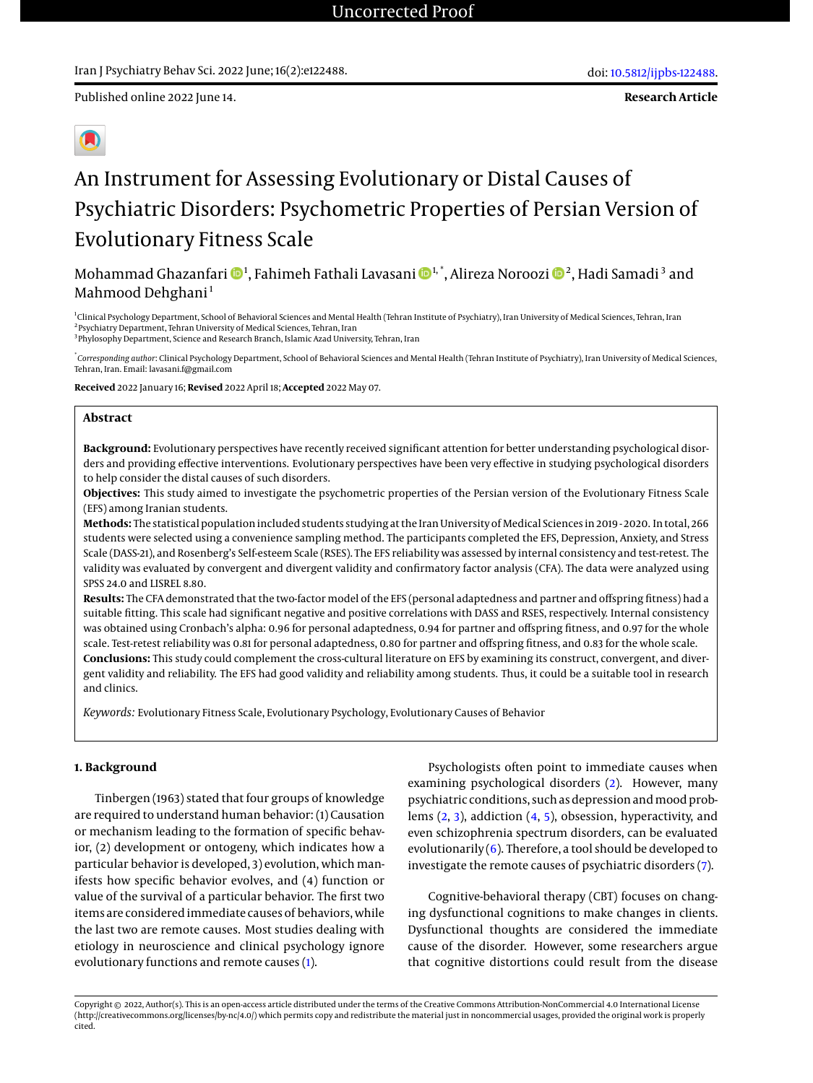**Research Article**



# An Instrument for Assessing Evolutionary or Distal Causes of Psychiatric Disorders: Psychometric Properties of Persian Version of Evolutionary Fitness Scale

Mohammad Ghazanfari **D**<sup>1</sup>, Fahimeh Fathali Lavasani **D**<sup>1,</sup> \*, Alireza Noroozi D<sup>[2](https://orcid.org/0000-0002-5838-4348)</sup>, Hadi Samadi <sup>3</sup> and Mahmood Dehghani<sup>1</sup>

1 Clinical Psychology Department, School of Behavioral Sciences and Mental Health (Tehran Institute of Psychiatry), Iran University of Medical Sciences, Tehran, Iran 2 Psychiatry Department, Tehran University of Medical Sciences, Tehran, Iran <sup>3</sup>Phylosophy Department, Science and Research Branch, Islamic Azad University, Tehran, Iran

\* *Corresponding author*: Clinical Psychology Department, School of Behavioral Sciences and Mental Health (Tehran Institute of Psychiatry), Iran University of Medical Sciences, Tehran, Iran. Email: lavasani.f@gmail.com

**Received** 2022 January 16; **Revised** 2022 April 18; **Accepted** 2022 May 07.

# **Abstract**

**Background:** Evolutionary perspectives have recently received significant attention for better understanding psychological disorders and providing effective interventions. Evolutionary perspectives have been very effective in studying psychological disorders to help consider the distal causes of such disorders.

**Objectives:** This study aimed to investigate the psychometric properties of the Persian version of the Evolutionary Fitness Scale (EFS) among Iranian students.

**Methods:** The statistical population included students studying at the Iran University of Medical Sciences in 2019 - 2020. In total, 266 students were selected using a convenience sampling method. The participants completed the EFS, Depression, Anxiety, and Stress Scale (DASS-21), and Rosenberg's Self-esteem Scale (RSES). The EFS reliability was assessed by internal consistency and test-retest. The validity was evaluated by convergent and divergent validity and confirmatory factor analysis (CFA). The data were analyzed using SPSS 24.0 and LISREL 8.80.

**Results:** The CFA demonstrated that the two-factor model of the EFS (personal adaptedness and partner and offspring fitness) had a suitable fitting. This scale had significant negative and positive correlations with DASS and RSES, respectively. Internal consistency was obtained using Cronbach's alpha: 0.96 for personal adaptedness, 0.94 for partner and offspring fitness, and 0.97 for the whole scale. Test-retest reliability was 0.81 for personal adaptedness, 0.80 for partner and offspring fitness, and 0.83 for the whole scale. **Conclusions:** This study could complement the cross-cultural literature on EFS by examining its construct, convergent, and divergent validity and reliability. The EFS had good validity and reliability among students. Thus, it could be a suitable tool in research and clinics.

*Keywords:* Evolutionary Fitness Scale, Evolutionary Psychology, Evolutionary Causes of Behavior

# **1. Background**

Tinbergen (1963) stated that four groups of knowledge are required to understand human behavior: (1) Causation or mechanism leading to the formation of specific behavior, (2) development or ontogeny, which indicates how a particular behavior is developed, 3) evolution, which manifests how specific behavior evolves, and (4) function or value of the survival of a particular behavior. The first two items are considered immediate causes of behaviors, while the last two are remote causes. Most studies dealing with etiology in neuroscience and clinical psychology ignore evolutionary functions and remote causes [\(1\)](#page-4-0).

Psychologists often point to immediate causes when examining psychological disorders [\(2\)](#page-4-1). However, many psychiatric conditions, such as depression and mood problems [\(2,](#page-4-1) [3\)](#page-4-2), addiction [\(4,](#page-4-3) [5\)](#page-4-4), obsession, hyperactivity, and even schizophrenia spectrum disorders, can be evaluated evolutionarily  $(6)$ . Therefore, a tool should be developed to investigate the remote causes of psychiatric disorders [\(7\)](#page-4-6).

Cognitive-behavioral therapy (CBT) focuses on changing dysfunctional cognitions to make changes in clients. Dysfunctional thoughts are considered the immediate cause of the disorder. However, some researchers argue that cognitive distortions could result from the disease

Copyright © 2022, Author(s). This is an open-access article distributed under the terms of the Creative Commons Attribution-NonCommercial 4.0 International License (http://creativecommons.org/licenses/by-nc/4.0/) which permits copy and redistribute the material just in noncommercial usages, provided the original work is properly cited.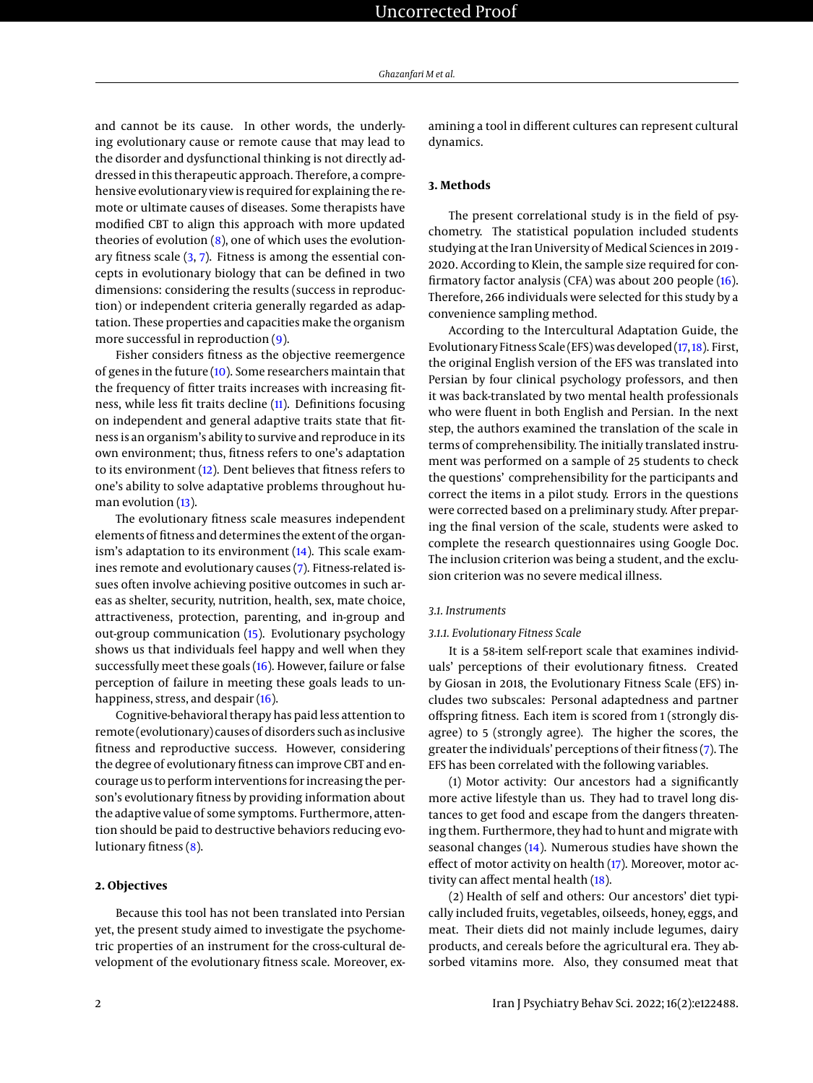and cannot be its cause. In other words, the underlying evolutionary cause or remote cause that may lead to the disorder and dysfunctional thinking is not directly addressed in this therapeutic approach. Therefore, a comprehensive evolutionary view is required for explaining the remote or ultimate causes of diseases. Some therapists have modified CBT to align this approach with more updated theories of evolution  $(8)$ , one of which uses the evolutionary fitness scale [\(3,](#page-4-2) [7\)](#page-4-6). Fitness is among the essential concepts in evolutionary biology that can be defined in two dimensions: considering the results (success in reproduction) or independent criteria generally regarded as adaptation. These properties and capacities make the organism more successful in reproduction [\(9\)](#page-4-8).

Fisher considers fitness as the objective reemergence of genes in the future [\(10\)](#page-4-9). Some researchers maintain that the frequency of fitter traits increases with increasing fitness, while less fit traits decline [\(11\)](#page-4-10). Definitions focusing on independent and general adaptive traits state that fitness is an organism's ability to survive and reproduce in its own environment; thus, fitness refers to one's adaptation to its environment [\(12\)](#page-4-11). Dent believes that fitness refers to one's ability to solve adaptative problems throughout hu-man evolution [\(13\)](#page-4-12).

The evolutionary fitness scale measures independent elements of fitness and determines the extent of the organism's adaptation to its environment [\(14\)](#page-4-13). This scale examines remote and evolutionary causes [\(7\)](#page-4-6). Fitness-related issues often involve achieving positive outcomes in such areas as shelter, security, nutrition, health, sex, mate choice, attractiveness, protection, parenting, and in-group and out-group communication [\(15\)](#page-4-14). Evolutionary psychology shows us that individuals feel happy and well when they successfully meet these goals [\(16\)](#page-4-15). However, failure or false perception of failure in meeting these goals leads to unhappiness, stress, and despair [\(16\)](#page-4-15).

Cognitive-behavioral therapy has paid less attention to remote (evolutionary) causes of disorders such as inclusive fitness and reproductive success. However, considering the degree of evolutionary fitness can improve CBT and encourage us to perform interventions for increasing the person's evolutionary fitness by providing information about the adaptive value of some symptoms. Furthermore, attention should be paid to destructive behaviors reducing evolutionary fitness [\(8\)](#page-4-7).

### **2. Objectives**

Because this tool has not been translated into Persian yet, the present study aimed to investigate the psychometric properties of an instrument for the cross-cultural development of the evolutionary fitness scale. Moreover, examining a tool in different cultures can represent cultural dynamics.

# **3. Methods**

The present correlational study is in the field of psychometry. The statistical population included students studying at the Iran University of Medical Sciences in 2019 - 2020. According to Klein, the sample size required for confirmatory factor analysis (CFA) was about 200 people [\(16\)](#page-4-15). Therefore, 266 individuals were selected for this study by a convenience sampling method.

According to the Intercultural Adaptation Guide, the Evolutionary Fitness Scale (EFS) was developed [\(17,](#page-4-16)[18\)](#page-4-17). First, the original English version of the EFS was translated into Persian by four clinical psychology professors, and then it was back-translated by two mental health professionals who were fluent in both English and Persian. In the next step, the authors examined the translation of the scale in terms of comprehensibility. The initially translated instrument was performed on a sample of 25 students to check the questions' comprehensibility for the participants and correct the items in a pilot study. Errors in the questions were corrected based on a preliminary study. After preparing the final version of the scale, students were asked to complete the research questionnaires using Google Doc. The inclusion criterion was being a student, and the exclusion criterion was no severe medical illness.

# *3.1. Instruments*

#### *3.1.1. Evolutionary Fitness Scale*

It is a 58-item self-report scale that examines individuals' perceptions of their evolutionary fitness. Created by Giosan in 2018, the Evolutionary Fitness Scale (EFS) includes two subscales: Personal adaptedness and partner offspring fitness. Each item is scored from 1 (strongly disagree) to 5 (strongly agree). The higher the scores, the greater the individuals' perceptions of their fitness [\(7\)](#page-4-6). The EFS has been correlated with the following variables.

(1) Motor activity: Our ancestors had a significantly more active lifestyle than us. They had to travel long distances to get food and escape from the dangers threatening them. Furthermore, they had to hunt and migrate with seasonal changes [\(14\)](#page-4-13). Numerous studies have shown the effect of motor activity on health [\(17\)](#page-4-16). Moreover, motor activity can affect mental health [\(18\)](#page-4-17).

(2) Health of self and others: Our ancestors' diet typically included fruits, vegetables, oilseeds, honey, eggs, and meat. Their diets did not mainly include legumes, dairy products, and cereals before the agricultural era. They absorbed vitamins more. Also, they consumed meat that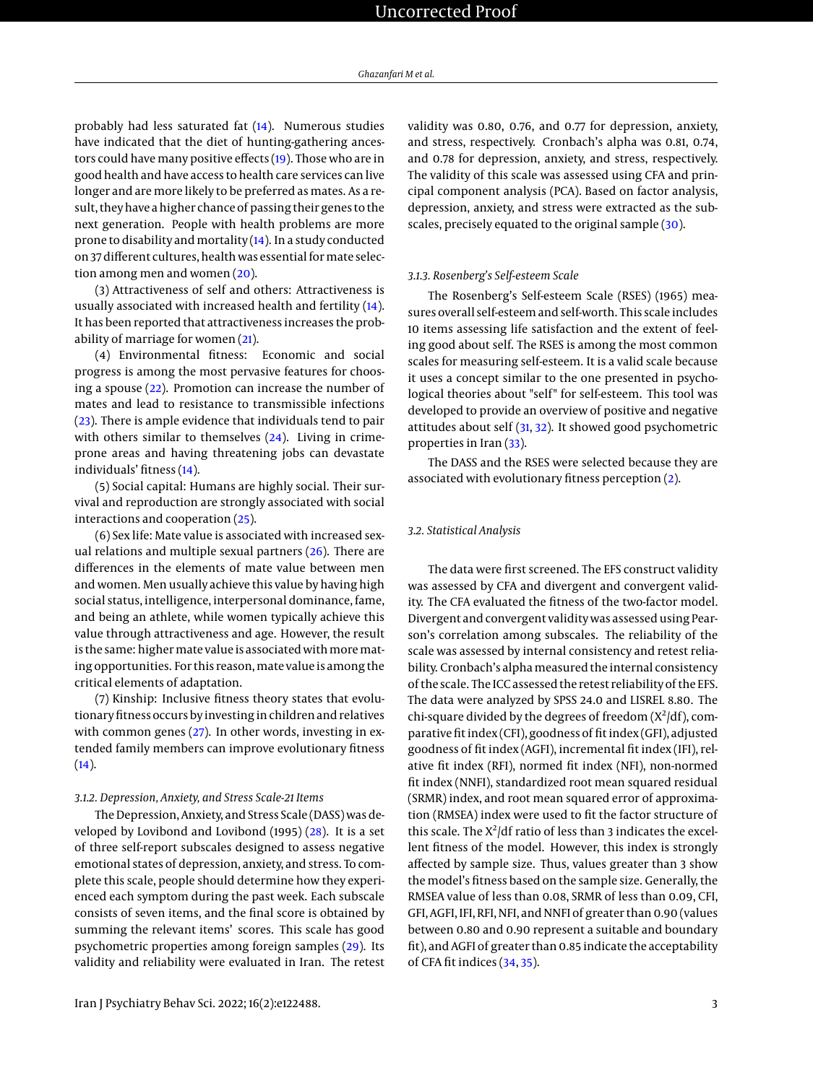probably had less saturated fat [\(14\)](#page-4-13). Numerous studies have indicated that the diet of hunting-gathering ancestors could have many positive effects [\(19\)](#page-4-18). Those who are in good health and have access to health care services can live longer and are more likely to be preferred as mates. As a result, they have a higher chance of passing their genes to the next generation. People with health problems are more prone to disability and mortality [\(14\)](#page-4-13). In a study conducted on 37 different cultures, health was essential formate selection among men and women [\(20\)](#page-5-0).

(3) Attractiveness of self and others: Attractiveness is usually associated with increased health and fertility [\(14\)](#page-4-13). It has been reported that attractiveness increases the probability of marriage for women [\(21\)](#page-5-1).

(4) Environmental fitness: Economic and social progress is among the most pervasive features for choosing a spouse [\(22\)](#page-5-2). Promotion can increase the number of mates and lead to resistance to transmissible infections [\(23\)](#page-5-3). There is ample evidence that individuals tend to pair with others similar to themselves  $(24)$ . Living in crimeprone areas and having threatening jobs can devastate individuals' fitness [\(14\)](#page-4-13).

(5) Social capital: Humans are highly social. Their survival and reproduction are strongly associated with social interactions and cooperation [\(25\)](#page-5-5).

(6) Sex life: Mate value is associated with increased sexual relations and multiple sexual partners [\(26\)](#page-5-6). There are differences in the elements of mate value between men and women. Men usually achieve this value by having high social status, intelligence, interpersonal dominance, fame, and being an athlete, while women typically achieve this value through attractiveness and age. However, the result is the same: higher mate value is associated with more mating opportunities. For this reason, mate value is among the critical elements of adaptation.

(7) Kinship: Inclusive fitness theory states that evolutionary fitness occurs by investing in children and relatives with common genes [\(27\)](#page-5-7). In other words, investing in extended family members can improve evolutionary fitness  $(14).$  $(14).$ 

#### *3.1.2. Depression, Anxiety, and Stress Scale-21 Items*

The Depression, Anxiety, and Stress Scale (DASS) was developed by Lovibond and Lovibond (1995) [\(28\)](#page-5-8). It is a set of three self-report subscales designed to assess negative emotional states of depression, anxiety, and stress. To complete this scale, people should determine how they experienced each symptom during the past week. Each subscale consists of seven items, and the final score is obtained by summing the relevant items' scores. This scale has good psychometric properties among foreign samples [\(29\)](#page-5-9). Its validity and reliability were evaluated in Iran. The retest

validity was 0.80, 0.76, and 0.77 for depression, anxiety, and stress, respectively. Cronbach's alpha was 0.81, 0.74, and 0.78 for depression, anxiety, and stress, respectively. The validity of this scale was assessed using CFA and principal component analysis (PCA). Based on factor analysis, depression, anxiety, and stress were extracted as the sub-scales, precisely equated to the original sample [\(30\)](#page-5-10).

#### *3.1.3. Rosenberg's Self-esteem Scale*

The Rosenberg's Self-esteem Scale (RSES) (1965) measures overall self-esteem and self-worth. This scale includes 10 items assessing life satisfaction and the extent of feeling good about self. The RSES is among the most common scales for measuring self-esteem. It is a valid scale because it uses a concept similar to the one presented in psychological theories about "self" for self-esteem. This tool was developed to provide an overview of positive and negative attitudes about self [\(31,](#page-5-11) [32\)](#page-5-12). It showed good psychometric properties in Iran [\(33\)](#page-5-13).

The DASS and the RSES were selected because they are associated with evolutionary fitness perception [\(2\)](#page-4-1).

# *3.2. Statistical Analysis*

The data were first screened. The EFS construct validity was assessed by CFA and divergent and convergent validity. The CFA evaluated the fitness of the two-factor model. Divergent and convergent validity was assessed using Pearson's correlation among subscales. The reliability of the scale was assessed by internal consistency and retest reliability. Cronbach's alpha measured the internal consistency of the scale. The ICC assessed the retest reliability of the EFS. The data were analyzed by SPSS 24.0 and LISREL 8.80. The chi-square divided by the degrees of freedom  $(X^2/df)$ , comparative fit index (CFI), goodness of fit index (GFI), adjusted goodness of fit index (AGFI), incremental fit index (IFI), relative fit index (RFI), normed fit index (NFI), non-normed fit index (NNFI), standardized root mean squared residual (SRMR) index, and root mean squared error of approximation (RMSEA) index were used to fit the factor structure of this scale. The  $X^2/df$  ratio of less than 3 indicates the excellent fitness of the model. However, this index is strongly affected by sample size. Thus, values greater than 3 show the model's fitness based on the sample size. Generally, the RMSEA value of less than 0.08, SRMR of less than 0.09, CFI, GFI, AGFI, IFI, RFI, NFI, and NNFI of greater than 0.90 (values between 0.80 and 0.90 represent a suitable and boundary fit), and AGFI of greater than 0.85 indicate the acceptability of CFA fit indices [\(34,](#page-5-14) [35\)](#page-5-15).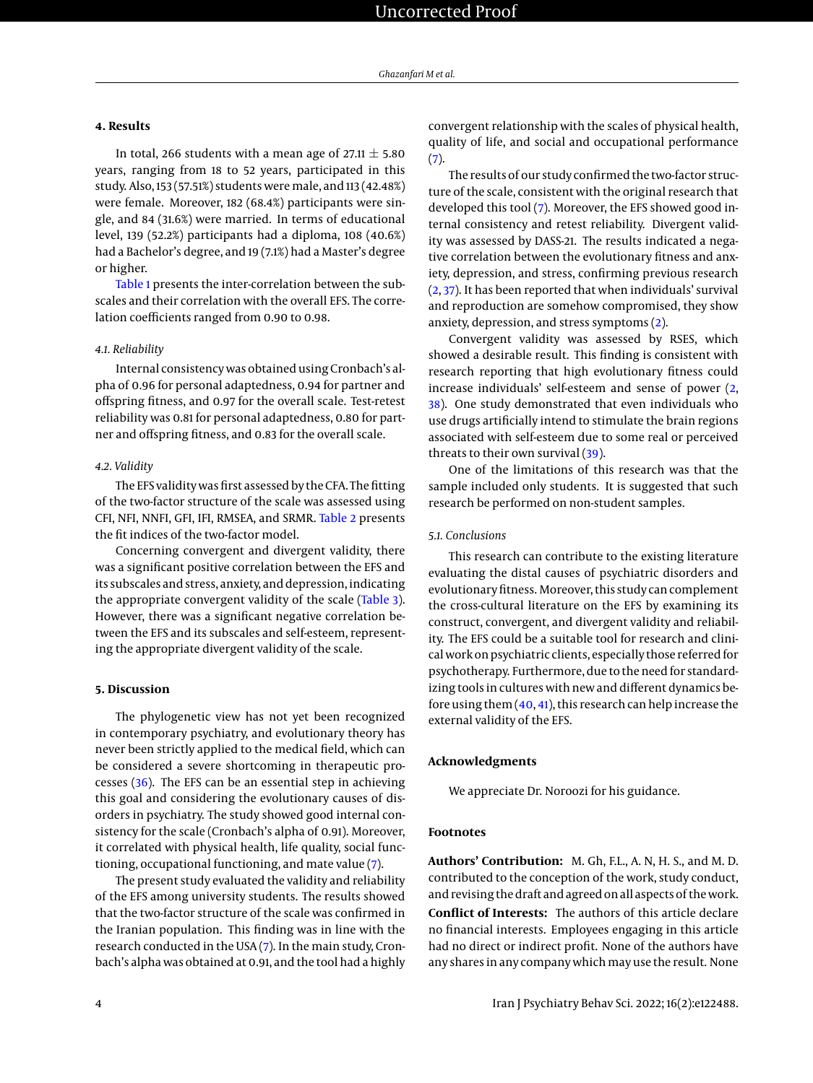# **4. Results**

In total, 266 students with a mean age of 27.11  $\pm$  5.80 years, ranging from 18 to 52 years, participated in this study. Also, 153 (57.51%) students were male, and 113 (42.48%) were female. Moreover, 182 (68.4%) participants were single, and 84 (31.6%) were married. In terms of educational level, 139 (52.2%) participants had a diploma, 108 (40.6%) had a Bachelor's degree, and 19 (7.1%) had a Master's degree or higher.

[Table 1](#page-4-19) presents the inter-correlation between the subscales and their correlation with the overall EFS. The correlation coefficients ranged from 0.90 to 0.98.

### *4.1. Reliability*

Internal consistency was obtained using Cronbach's alpha of 0.96 for personal adaptedness, 0.94 for partner and offspring fitness, and 0.97 for the overall scale. Test-retest reliability was 0.81 for personal adaptedness, 0.80 for partner and offspring fitness, and 0.83 for the overall scale.

#### *4.2. Validity*

The EFS validity was first assessed by the CFA. The fitting of the two-factor structure of the scale was assessed using CFI, NFI, NNFI, GFI, IFI, RMSEA, and SRMR. [Table 2](#page-4-20) presents the fit indices of the two-factor model.

Concerning convergent and divergent validity, there was a significant positive correlation between the EFS and its subscales and stress, anxiety, and depression, indicating the appropriate convergent validity of the scale [\(Table 3\)](#page-4-21). However, there was a significant negative correlation between the EFS and its subscales and self-esteem, representing the appropriate divergent validity of the scale.

#### **5. Discussion**

The phylogenetic view has not yet been recognized in contemporary psychiatry, and evolutionary theory has never been strictly applied to the medical field, which can be considered a severe shortcoming in therapeutic processes [\(36\)](#page-5-16). The EFS can be an essential step in achieving this goal and considering the evolutionary causes of disorders in psychiatry. The study showed good internal consistency for the scale (Cronbach's alpha of 0.91). Moreover, it correlated with physical health, life quality, social functioning, occupational functioning, and mate value [\(7\)](#page-4-6).

The present study evaluated the validity and reliability of the EFS among university students. The results showed that the two-factor structure of the scale was confirmed in the Iranian population. This finding was in line with the research conducted in the USA [\(7\)](#page-4-6). In the main study, Cronbach's alpha was obtained at 0.91, and the tool had a highly

convergent relationship with the scales of physical health, quality of life, and social and occupational performance [\(7\)](#page-4-6).

The results of our study confirmed the two-factor structure of the scale, consistent with the original research that developed this tool [\(7\)](#page-4-6). Moreover, the EFS showed good internal consistency and retest reliability. Divergent validity was assessed by DASS-21. The results indicated a negative correlation between the evolutionary fitness and anxiety, depression, and stress, confirming previous research [\(2,](#page-4-1) [37\)](#page-5-17). It has been reported that when individuals' survival and reproduction are somehow compromised, they show anxiety, depression, and stress symptoms [\(2\)](#page-4-1).

Convergent validity was assessed by RSES, which showed a desirable result. This finding is consistent with research reporting that high evolutionary fitness could increase individuals' self-esteem and sense of power [\(2,](#page-4-1) [38\)](#page-5-18). One study demonstrated that even individuals who use drugs artificially intend to stimulate the brain regions associated with self-esteem due to some real or perceived threats to their own survival [\(39\)](#page-5-19).

One of the limitations of this research was that the sample included only students. It is suggested that such research be performed on non-student samples.

# *5.1. Conclusions*

This research can contribute to the existing literature evaluating the distal causes of psychiatric disorders and evolutionary fitness. Moreover, this study can complement the cross-cultural literature on the EFS by examining its construct, convergent, and divergent validity and reliability. The EFS could be a suitable tool for research and clinical work on psychiatric clients, especially those referred for psychotherapy. Furthermore, due to the need for standardizing tools in cultures with new and different dynamics before using them [\(40,](#page-5-20) [41\)](#page-5-21), this research can help increase the external validity of the EFS.

# **Acknowledgments**

We appreciate Dr. Noroozi for his guidance.

#### **Footnotes**

**Authors' Contribution:** M. Gh, F.L., A. N, H. S., and M. D. contributed to the conception of the work, study conduct, and revising the draft and agreed on all aspects of the work. **Conflict of Interests:** The authors of this article declare no financial interests. Employees engaging in this article had no direct or indirect profit. None of the authors have any shares in any company which may use the result. None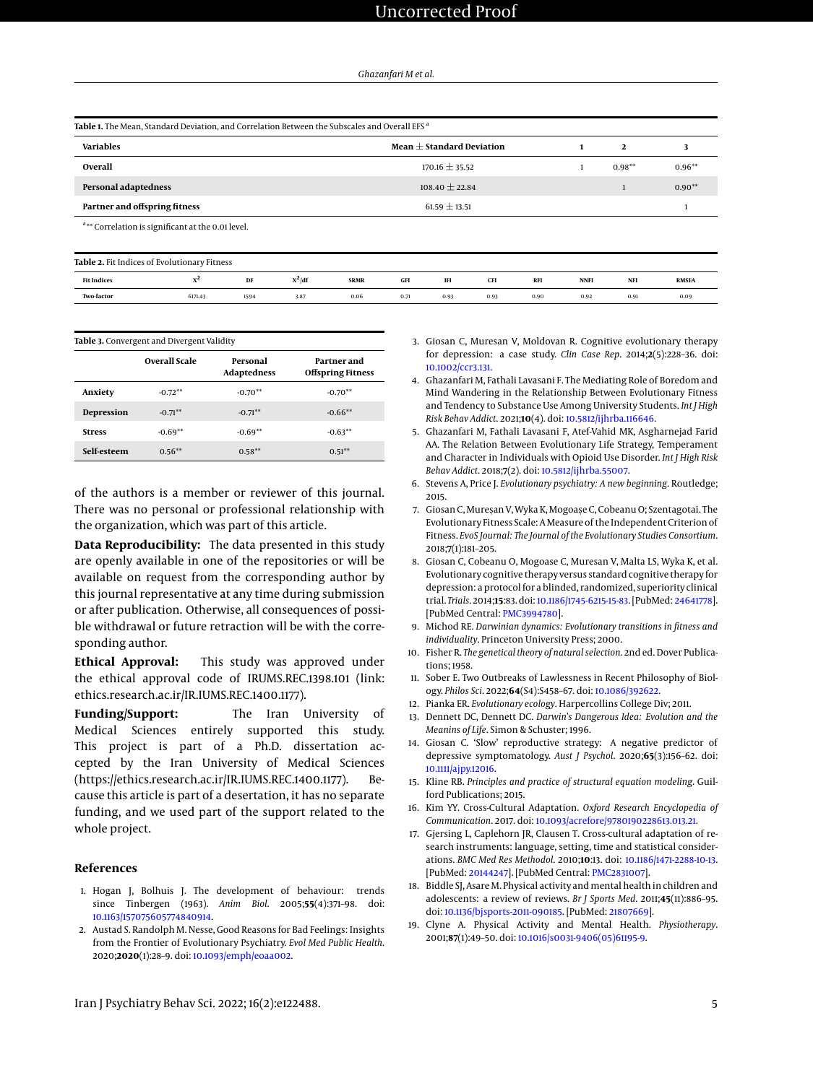<span id="page-4-19"></span>

| Table 1. The Mean, Standard Deviation, and Correlation Between the Subscales and Overall EFS <sup>a</sup> |  |
|-----------------------------------------------------------------------------------------------------------|--|
|                                                                                                           |  |

| <b>Variables</b>              | Mean $\pm$ Standard Deviation |           |          |
|-------------------------------|-------------------------------|-----------|----------|
| Overall                       | $170.16 \pm 35.52$            | $0.98***$ | $0.96**$ |
| Personal adaptedness          | $108.40 \pm 22.84$            |           | $0.90**$ |
| Partner and offspring fitness | $61.59 \pm 13.51$             |           |          |

a\*\* Correlation is significant at the 0.01 level.

<span id="page-4-20"></span>

| Table 2. Fit Indices of Evolutionary Fitness |         |      |          |             |      |      |            |           |             |           |              |
|----------------------------------------------|---------|------|----------|-------------|------|------|------------|-----------|-------------|-----------|--------------|
| <b>Fit Indices</b>                           | л       | DF   | $X^2/df$ | <b>SRMR</b> | GFI  | IFI  | <b>CFI</b> | <b>RF</b> | <b>NNFI</b> | <b>NF</b> | <b>RMSEA</b> |
| <b>Two-factor</b>                            | 6171.43 | 1594 | 3.87     | 0.06        | 0.71 | 0.93 | 0.93       | 0.90      | 0.92        | 0.91      | 0.09         |

<span id="page-4-21"></span>

|               | Table 3. Convergent and Divergent Validity<br>Overall Scale | Personal<br><b>Adaptedness</b> | Partner and<br><b>Offspring Fitness</b> |
|---------------|-------------------------------------------------------------|--------------------------------|-----------------------------------------|
| Anxiety       | $-0.72**$                                                   | $-0.70**$                      | $-0.70**$                               |
| Depression    | $-0.71**$                                                   | $-0.71***$                     | $-0.66**$                               |
| <b>Stress</b> | $-0.69**$                                                   | $-0.69**$                      | $-0.63**$                               |
| Self-esteem   | $0.56***$                                                   | $0.58***$                      | $0.51**$                                |

of the authors is a member or reviewer of this journal. There was no personal or professional relationship with the organization, which was part of this article.

**Data Reproducibility:** The data presented in this study are openly available in one of the repositories or will be available on request from the corresponding author by this journal representative at any time during submission or after publication. Otherwise, all consequences of possible withdrawal or future retraction will be with the corresponding author.

**Ethical Approval:** This study was approved under the ethical approval code of IRUMS.REC.1398.101 (link: ethics.research.ac.ir/IR.IUMS.REC.1400.1177).

**Funding/Support:** The Iran University of Medical Sciences entirely supported this study. This project is part of a Ph.D. dissertation accepted by the Iran University of Medical Sciences (https://ethics.research.ac.ir/IR.IUMS.REC.1400.1177). Because this article is part of a desertation, it has no separate funding, and we used part of the support related to the whole project.

#### **References**

- <span id="page-4-0"></span>1. Hogan J, Bolhuis J. The development of behaviour: trends since Tinbergen (1963). *Anim Biol*. 2005;**55**(4):371–98. doi: [10.1163/157075605774840914.](http://dx.doi.org/10.1163/157075605774840914)
- <span id="page-4-1"></span>2. Austad S. Randolph M. Nesse, Good Reasons for Bad Feelings: Insights from the Frontier of Evolutionary Psychiatry. *Evol Med Public Health*. 2020;**2020**(1):28–9. doi: [10.1093/emph/eoaa002.](http://dx.doi.org/10.1093/emph/eoaa002)
- <span id="page-4-2"></span>3. Giosan C, Muresan V, Moldovan R. Cognitive evolutionary therapy for depression: a case study. *Clin Case Rep*. 2014;**2**(5):228–36. doi: [10.1002/ccr3.131.](http://dx.doi.org/10.1002/ccr3.131)
- <span id="page-4-3"></span>4. Ghazanfari M, Fathali Lavasani F. The Mediating Role of Boredom and Mind Wandering in the Relationship Between Evolutionary Fitness and Tendency to Substance Use Among University Students. *Int J High Risk Behav Addict*. 2021;**10**(4). doi: [10.5812/ijhrba.116646.](http://dx.doi.org/10.5812/ijhrba.116646)
- <span id="page-4-4"></span>5. Ghazanfari M, Fathali Lavasani F, Atef-Vahid MK, Asgharnejad Farid AA. The Relation Between Evolutionary Life Strategy, Temperament and Character in Individuals with Opioid Use Disorder. *Int J High Risk Behav Addict*. 2018;**7**(2). doi: [10.5812/ijhrba.55007.](http://dx.doi.org/10.5812/ijhrba.55007)
- <span id="page-4-5"></span>6. Stevens A, Price J. *Evolutionary psychiatry: A new beginning*. Routledge; 2015.
- <span id="page-4-6"></span>7. Giosan C, Mureșan V, Wyka K, Mogoașe C, Cobeanu O; Szentagotai. The Evolutionary Fitness Scale: A Measure of the Independent Criterion of Fitness. *EvoS Journal: The Journal of the Evolutionary Studies Consortium*. 2018;**7**(1):181–205.
- <span id="page-4-7"></span>8. Giosan C, Cobeanu O, Mogoase C, Muresan V, Malta LS, Wyka K, et al. Evolutionary cognitive therapy versus standard cognitive therapy for depression: a protocol for a blinded, randomized, superiority clinical trial. *Trials*. 2014;**15**:83. doi: [10.1186/1745-6215-15-83.](http://dx.doi.org/10.1186/1745-6215-15-83) [PubMed: [24641778\]](http://www.ncbi.nlm.nih.gov/pubmed/24641778). [PubMed Central: [PMC3994780\]](https://www.ncbi.nlm.nih.gov/pmc/articles/PMC3994780).
- <span id="page-4-8"></span>9. Michod RE. *Darwinian dynamics: Evolutionary transitions in fitness and individuality*. Princeton University Press; 2000.
- <span id="page-4-9"></span>10. Fisher R. *The genetical theory of natural selection*. 2nd ed. Dover Publications; 1958.
- <span id="page-4-10"></span>11. Sober E. Two Outbreaks of Lawlessness in Recent Philosophy of Biology. *Philos Sci*. 2022;**64**(S4):S458–67. doi: [10.1086/392622.](http://dx.doi.org/10.1086/392622)
- <span id="page-4-11"></span>12. Pianka ER. *Evolutionary ecology*. Harpercollins College Div; 2011.
- <span id="page-4-12"></span>13. Dennett DC, Dennett DC. *Darwin's Dangerous Idea: Evolution and the Meanins of Life*. Simon & Schuster; 1996.
- <span id="page-4-13"></span>14. Giosan C. 'Slow' reproductive strategy: A negative predictor of depressive symptomatology. *Aust J Psychol*. 2020;**65**(3):156–62. doi: [10.1111/ajpy.12016.](http://dx.doi.org/10.1111/ajpy.12016)
- <span id="page-4-14"></span>15. Kline RB. *Principles and practice of structural equation modeling*. Guilford Publications; 2015.
- <span id="page-4-15"></span>16. Kim YY. Cross-Cultural Adaptation. *Oxford Research Encyclopedia of Communication*. 2017. doi: [10.1093/acrefore/9780190228613.013.21.](http://dx.doi.org/10.1093/acrefore/9780190228613.013.21)
- <span id="page-4-16"></span>17. Gjersing L, Caplehorn JR, Clausen T. Cross-cultural adaptation of research instruments: language, setting, time and statistical considerations. *BMC Med Res Methodol*. 2010;**10**:13. doi: [10.1186/1471-2288-10-13.](http://dx.doi.org/10.1186/1471-2288-10-13) [PubMed: [20144247\]](http://www.ncbi.nlm.nih.gov/pubmed/20144247). [PubMed Central: [PMC2831007\]](https://www.ncbi.nlm.nih.gov/pmc/articles/PMC2831007).
- <span id="page-4-17"></span>18. Biddle SJ, Asare M. Physical activity and mental health in children and adolescents: a review of reviews. *Br J Sports Med*. 2011;**45**(11):886–95. doi: [10.1136/bjsports-2011-090185.](http://dx.doi.org/10.1136/bjsports-2011-090185) [PubMed: [21807669\]](http://www.ncbi.nlm.nih.gov/pubmed/21807669).
- <span id="page-4-18"></span>19. Clyne A. Physical Activity and Mental Health. *Physiotherapy*. 2001;**87**(1):49–50. doi: [10.1016/s0031-9406\(05\)61195-9.](http://dx.doi.org/10.1016/s0031-9406(05)61195-9)